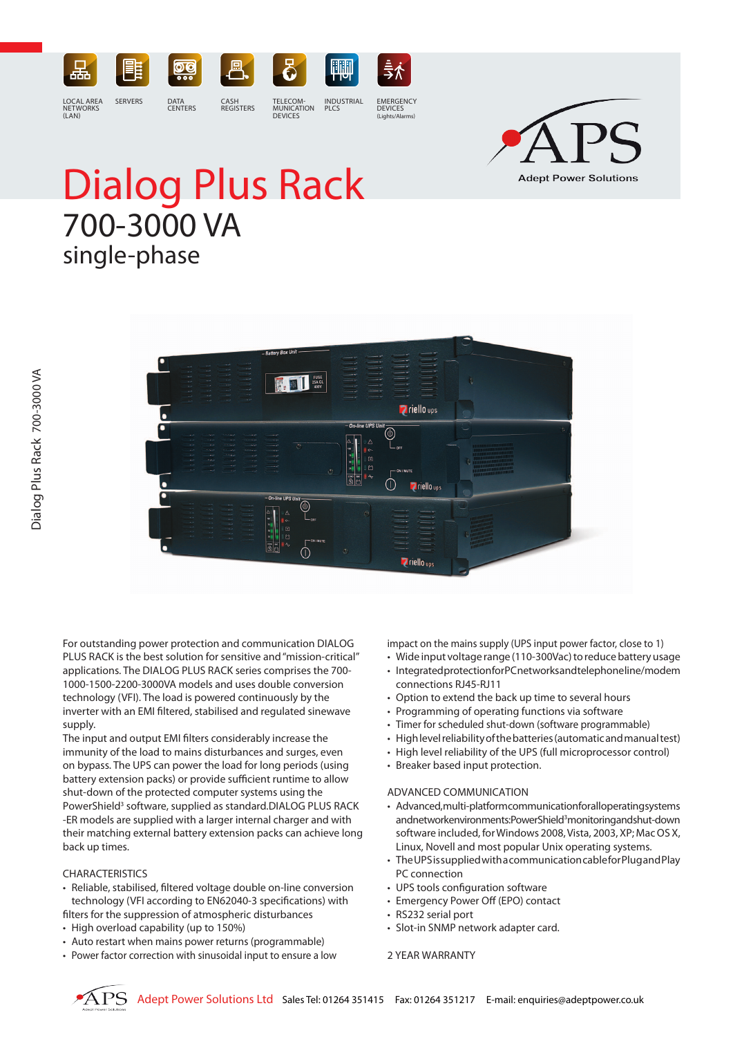



# Dialog Plus Rack 700-3000 VA single-phase

 $(I AN)$ 

**THE REAL PROPERTY Z**riello ups **Z** riello ups **Z** riello <sub>ups</sub>

For outstanding power protection and communication DIALOG PLUS RACK is the best solution for sensitive and "mission-critical" applications. The DIALOG PLUS RACK series comprises the 700- 1000-1500-2200-3000VA models and uses double conversion technology (VFI). The load is powered continuously by the inverter with an EMI filtered, stabilised and regulated sinewave supply.

The input and output EMI filters considerably increase the immunity of the load to mains disturbances and surges, even on bypass. The UPS can power the load for long periods (using battery extension packs) or provide sufficient runtime to allow shut-down of the protected computer systems using the PowerShield<sup>3</sup> software, supplied as standard.DIALOG PLUS RACK -ER models are supplied with a larger internal charger and with their matching external battery extension packs can achieve long back up times.

## CHARACTERISTICS

- Reliable, stabilised, filtered voltage double on-line conversion technology (VFI according to EN62040-3 specifications) with filters for the suppression of atmospheric disturbances
- High overload capability (up to 150%)
- Auto restart when mains power returns (programmable)
- Power factor correction with sinusoidal input to ensure a low

impact on the mains supply (UPS input power factor, close to 1)

- • Wide input voltage range (110-300Vac) to reduce battery usage
- Integrated protection for PC networks and telephone line/modem connections RJ45-RJ11
- Option to extend the back up time to several hours
- Programming of operating functions via software
- Timer for scheduled shut-down (software programmable)
- High level reliability of the batteries (automatic and manual test)
- High level reliability of the UPS (full microprocessor control)
- Breaker based input protection.

#### ADVANCED COMMUNICATION

- Advanced, multi-platform communication for all operating systems and network en vironments: Power Shield<sup>3</sup> monitoring and shut-down software included, for Windows 2008, Vista, 2003, XP; Mac OS X, Linux, Novell and most popular Unix operating systems.
- The UPS is supplied with a communication cable for Plug and Play PC connection
- UPS tools configuration software
- Emergency Power Off (EPO) contact
- RS232 serial port
- Slot-in SNMP network adapter card.
- 2 YEAR WARRANTY



DEVICES

(Lights/Alarms)